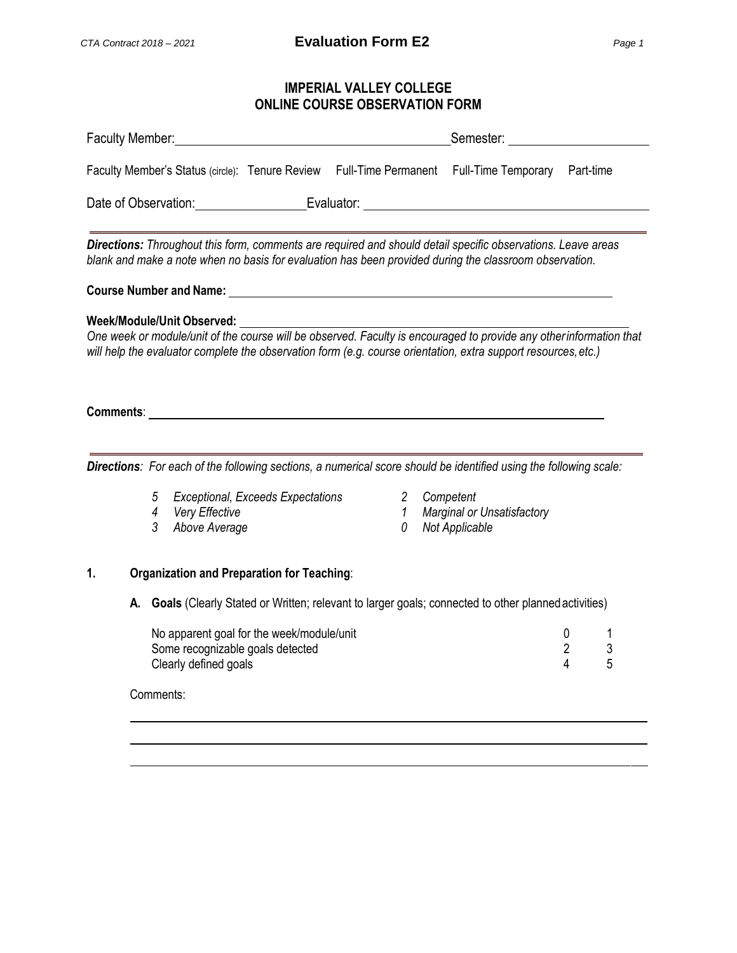# **IMPERIAL VALLEY COLLEGE ONLINE COURSE OBSERVATION FORM**

| Faculty Member: |                                                                                                                                                                                                                                                                                  | <u> 1980 - Johann Barbara, martxa alemaniar a</u> |                                   | Semester: _______________                                                                                                                                                                                                                                                                                                                                                                                                                            |                          |        |
|-----------------|----------------------------------------------------------------------------------------------------------------------------------------------------------------------------------------------------------------------------------------------------------------------------------|---------------------------------------------------|-----------------------------------|------------------------------------------------------------------------------------------------------------------------------------------------------------------------------------------------------------------------------------------------------------------------------------------------------------------------------------------------------------------------------------------------------------------------------------------------------|--------------------------|--------|
|                 |                                                                                                                                                                                                                                                                                  |                                                   |                                   | Faculty Member's Status (circle): Tenure Review Full-Time Permanent Full-Time Temporary Part-time                                                                                                                                                                                                                                                                                                                                                    |                          |        |
|                 |                                                                                                                                                                                                                                                                                  |                                                   |                                   |                                                                                                                                                                                                                                                                                                                                                                                                                                                      |                          |        |
|                 |                                                                                                                                                                                                                                                                                  |                                                   |                                   | Directions: Throughout this form, comments are required and should detail specific observations. Leave areas<br>blank and make a note when no basis for evaluation has been provided during the classroom observation.                                                                                                                                                                                                                               |                          |        |
|                 |                                                                                                                                                                                                                                                                                  |                                                   |                                   |                                                                                                                                                                                                                                                                                                                                                                                                                                                      |                          |        |
|                 | Comments: comments: comments: comments: comments: comments: comments: comments: comments: comments: comments: comments: comments: comments: comments: comments: comments: comments: comments: comments: comments: comments: co<br>5<br>Very Effective<br>4<br>3<br>Above Average | Exceptional, Exceeds Expectations                 | $\mathbf{2}$<br>$\mathbf{1}$<br>0 | Week/Module/Unit Observed:<br>One week or module/unit of the course will be observed. Faculty is encouraged to provide any otherinformation that<br>will help the evaluator complete the observation form (e.g. course orientation, extra support resources, etc.)<br>Directions: For each of the following sections, a numerical score should be identified using the following scale:<br>Competent<br>Marginal or Unsatisfactory<br>Not Applicable |                          |        |
|                 |                                                                                                                                                                                                                                                                                  |                                                   |                                   |                                                                                                                                                                                                                                                                                                                                                                                                                                                      |                          |        |
| 1.              | <b>Organization and Preparation for Teaching:</b>                                                                                                                                                                                                                                |                                                   |                                   |                                                                                                                                                                                                                                                                                                                                                                                                                                                      |                          |        |
|                 |                                                                                                                                                                                                                                                                                  |                                                   |                                   | A. Goals (Clearly Stated or Written; relevant to larger goals; connected to other planned activities)                                                                                                                                                                                                                                                                                                                                                |                          |        |
|                 | No apparent goal for the week/module/unit<br>Some recognizable goals detected<br>Clearly defined goals                                                                                                                                                                           |                                                   |                                   |                                                                                                                                                                                                                                                                                                                                                                                                                                                      | 0<br>$\overline{2}$<br>4 | 3<br>5 |
|                 | Comments:                                                                                                                                                                                                                                                                        |                                                   |                                   |                                                                                                                                                                                                                                                                                                                                                                                                                                                      |                          |        |
|                 |                                                                                                                                                                                                                                                                                  |                                                   |                                   |                                                                                                                                                                                                                                                                                                                                                                                                                                                      |                          |        |
|                 |                                                                                                                                                                                                                                                                                  |                                                   |                                   |                                                                                                                                                                                                                                                                                                                                                                                                                                                      |                          |        |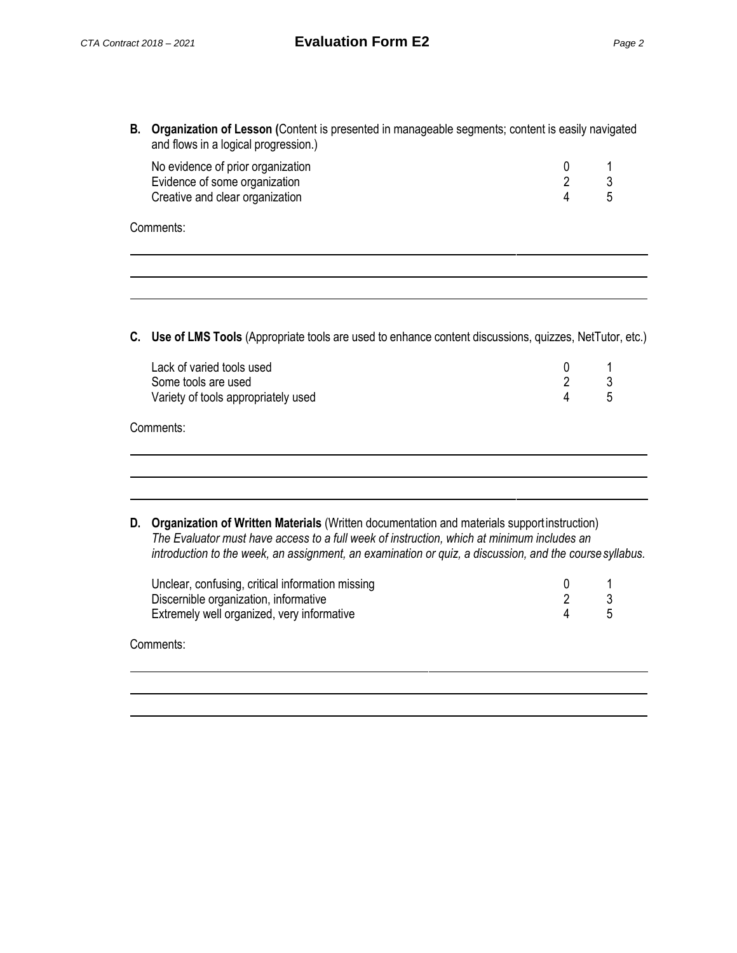| No evidence of prior organization |  |
|-----------------------------------|--|
| Evidence of some organization     |  |
| Creative and clear organization   |  |

| Comments: |  |
|-----------|--|
|-----------|--|

**C. Use of LMS Tools** (Appropriate tools are used to enhance content discussions, quizzes, NetTutor, etc.)

### Comments:

| D. Organization of Written Materials (Written documentation and materials supportinstruction)           |
|---------------------------------------------------------------------------------------------------------|
| The Evaluator must have access to a full week of instruction, which at minimum includes an              |
| introduction to the week, an assignment, an examination or quiz, a discussion, and the course syllabus. |

| Unclear, confusing, critical information missing |  |
|--------------------------------------------------|--|
| Discernible organization, informative            |  |
| Extremely well organized, very informative       |  |

Comments: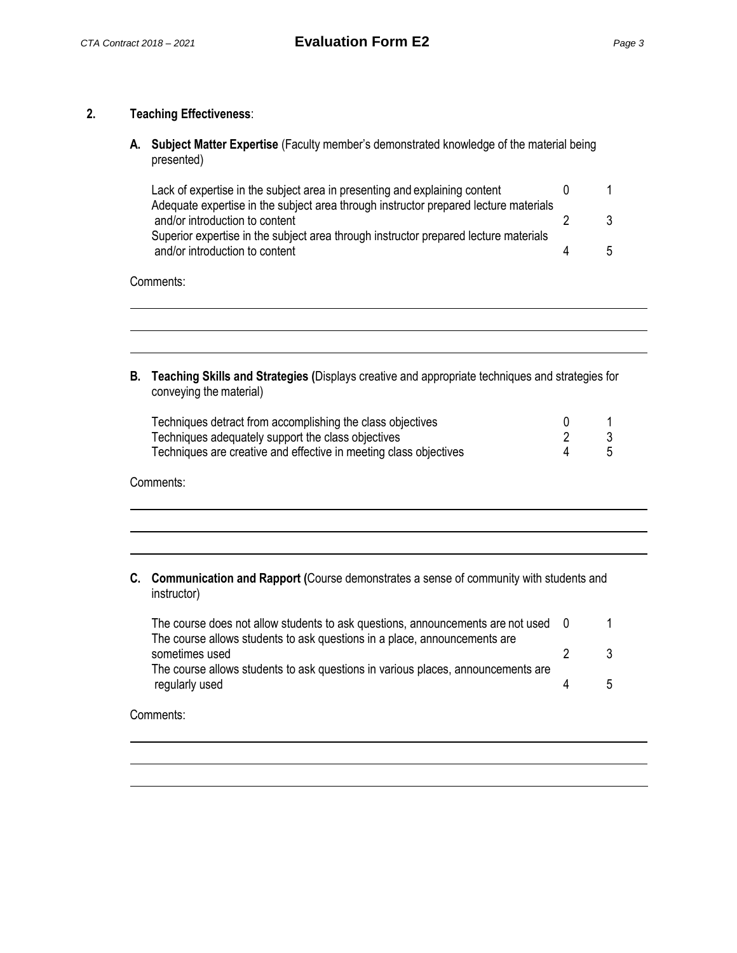### **2. Teaching Effectiveness**:

**A. Subject Matter Expertise** (Faculty member's demonstrated knowledge of the material being presented)

| Lack of expertise in the subject area in presenting and explaining content           |                      |
|--------------------------------------------------------------------------------------|----------------------|
| Adequate expertise in the subject area through instructor prepared lecture materials |                      |
| and/or introduction to content                                                       |                      |
| Superior expertise in the subject area through instructor prepared lecture materials |                      |
| and/or introduction to content                                                       | $\ddot{\phantom{1}}$ |

#### Comments:

| B. Teaching Skills and Strategies (Displays creative and appropriate techniques and strategies for |
|----------------------------------------------------------------------------------------------------|
| conveying the material)                                                                            |

| Techniques detract from accomplishing the class objectives        |       |
|-------------------------------------------------------------------|-------|
| Techniques adequately support the class objectives                |       |
| Techniques are creative and effective in meeting class objectives | $5 -$ |

| Comments: |
|-----------|
|-----------|

| C. Communication and Rapport (Course demonstrates a sense of community with students and |  |
|------------------------------------------------------------------------------------------|--|
| instructor)                                                                              |  |

| The course does not allow students to ask questions, announcements are not used 0 |              |
|-----------------------------------------------------------------------------------|--------------|
| The course allows students to ask questions in a place, announcements are         |              |
| sometimes used                                                                    |              |
| The course allows students to ask questions in various places, announcements are  |              |
| regularly used                                                                    | $\mathsf{h}$ |
|                                                                                   |              |

Comments: